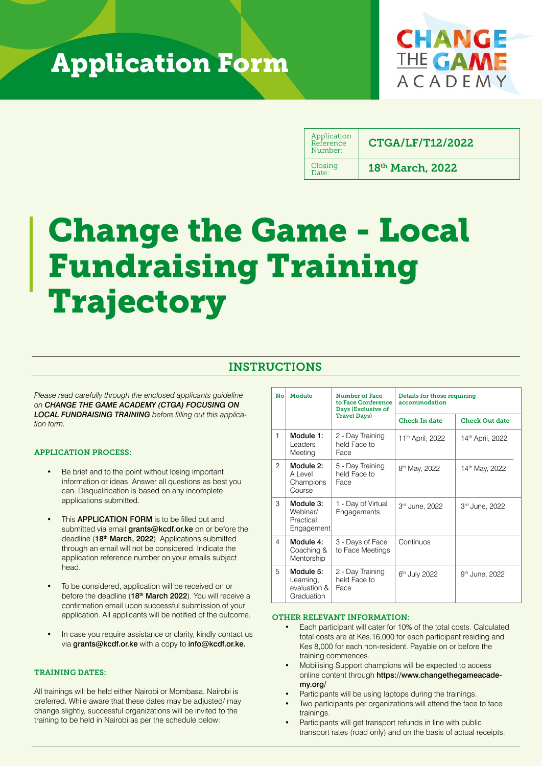# Application Form



| Application<br>Reference<br>Number: | <b>CTGA/LF/T12/2022</b> |
|-------------------------------------|-------------------------|
| Closing<br>Date:                    | 18th March, 2022        |

# Change the Game - Local Fundraising Training Trajectory

## INSTRUCTIONS

*Please read carefully through the enclosed applicants guideline on CHANGE THE GAME ACADEMY (CTGA) FOCUSING ON LOCAL FUNDRAISING TRAINING before filling out this application form.*

#### APPLICATION PROCESS:

- Be brief and to the point without losing important information or ideas. Answer all questions as best you can. Disqualification is based on any incomplete applications submitted.
- This **APPLICATION FORM** is to be filled out and submitted via email *grants@kcdf.or.ke* on or before the deadline (18<sup>th</sup> March, 2022). Applications submitted through an email will not be considered. Indicate the application reference number on your emails subject head.
- To be considered, application will be received on or before the deadline (18<sup>th</sup> March 2022). You will receive a confirmation email upon successful submission of your application. All applicants will be notified of the outcome.
- In case you require assistance or clarity, kindly contact us via grants@kcdf.or.ke with a copy to info@kcdf.or.ke.

#### TRAINING DATES:

All trainings will be held either Nairobi or Mombasa. Nairobi is preferred. While aware that these dates may be adjusted/ may change slightly, successful organizations will be invited to the training to be held in Nairobi as per the schedule below:

| No             | Module                                               | <b>Number of Face</b><br>to Face Conference<br>Days (Exclusive of | Details for those requiring<br>accommodation |                              |  |
|----------------|------------------------------------------------------|-------------------------------------------------------------------|----------------------------------------------|------------------------------|--|
|                |                                                      | <b>Travel Days)</b>                                               | <b>Check In date</b>                         | <b>Check Out date</b>        |  |
| 1              | Module 1:<br>Leaders<br>Meeting                      | 2 - Day Training<br>held Face to<br>Face                          | 11 <sup>th</sup> April, 2022                 | 14 <sup>th</sup> April, 2022 |  |
| $\overline{c}$ | Module 2:<br>A Level<br>Champions<br>Course          | 5 - Day Training<br>held Face to<br>Face                          | 8 <sup>th</sup> May, 2022                    | 14th May, 2022               |  |
| 3              | Module 3:<br>Webinar/<br>Practical<br>Engagement     | 1 - Day of Virtual<br>Engagements                                 | 3rd June, 2022                               | 3rd June, 2022               |  |
| 4              | Module 4:<br>Coaching &<br>Mentorship                | 3 - Days of Face<br>to Face Meetings                              | Continuos                                    |                              |  |
| 5              | Module 5:<br>Learning,<br>evaluation &<br>Graduation | 2 - Day Training<br>held Face to<br>Face                          | 6 <sup>th</sup> July 2022                    | 9 <sup>th</sup> June, 2022   |  |

#### OTHER RELEVANT INFORMATION:

- Each participant will cater for 10% of the total costs. Calculated total costs are at Kes.16,000 for each participant residing and Kes 8,000 for each non-resident. Payable on or before the training commences.
- Mobilising Support champions will be expected to access online content through https://www.changethegameacademy.org/
- Participants will be using laptops during the trainings.
- Two participants per organizations will attend the face to face trainings.
- Participants will get transport refunds in line with public transport rates (road only) and on the basis of actual receipts.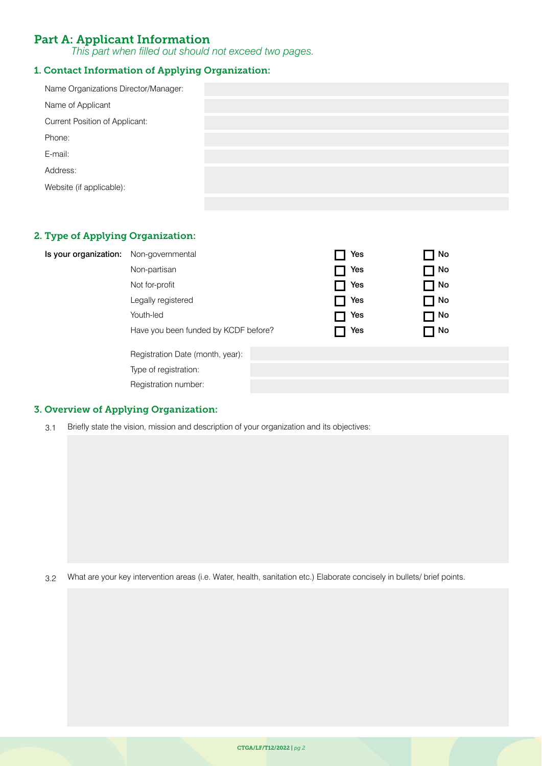## Part A: Applicant Information

*This part when filled out should not exceed two pages.*

#### 1. Contact Information of Applying Organization:

| Name Organizations Director/Manager:  |  |
|---------------------------------------|--|
| Name of Applicant                     |  |
| <b>Current Position of Applicant:</b> |  |
| Phone:                                |  |
| E-mail:                               |  |
| Address:                              |  |
| Website (if applicable):              |  |
|                                       |  |

#### 2. Type of Applying Organization:

| Is your organization: Non-governmental |  | Yes | No T        |  |
|----------------------------------------|--|-----|-------------|--|
| Non-partisan                           |  | Yes | ヿ No        |  |
| Not for-profit                         |  | Yes | $\sqcap$ No |  |
| Legally registered                     |  | Yes | ON 厂        |  |
| Youth-led                              |  | Yes | $\sqcap$ No |  |
| Have you been funded by KCDF before?   |  | Yes | $\sqcap$ No |  |
| Registration Date (month, year):       |  |     |             |  |
| Type of registration:                  |  |     |             |  |
| Registration number:                   |  |     |             |  |
|                                        |  |     |             |  |

#### 3. Overview of Applying Organization:

3.1 Briefly state the vision, mission and description of your organization and its objectives:

3.2 What are your key intervention areas (i.e. Water, health, sanitation etc.) Elaborate concisely in bullets/ brief points.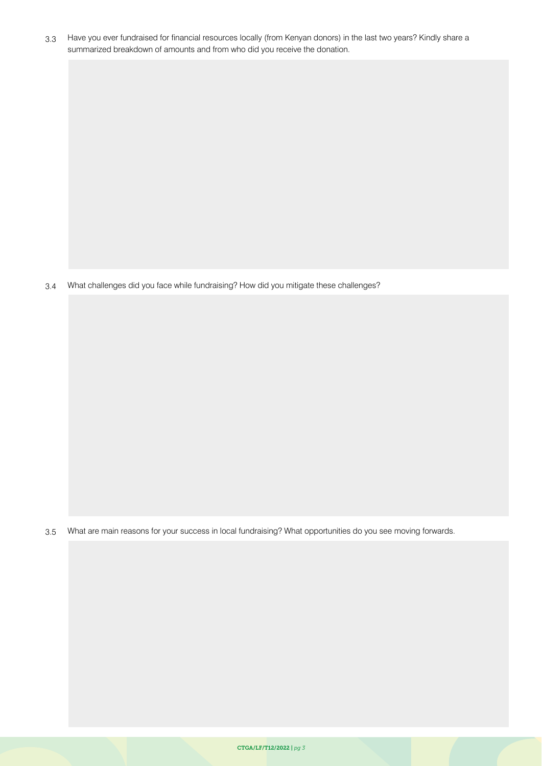3.3 Have you ever fundraised for financial resources locally (from Kenyan donors) in the last two years? Kindly share a summarized breakdown of amounts and from who did you receive the donation.

3.4 What challenges did you face while fundraising? How did you mitigate these challenges?

3.5 What are main reasons for your success in local fundraising? What opportunities do you see moving forwards.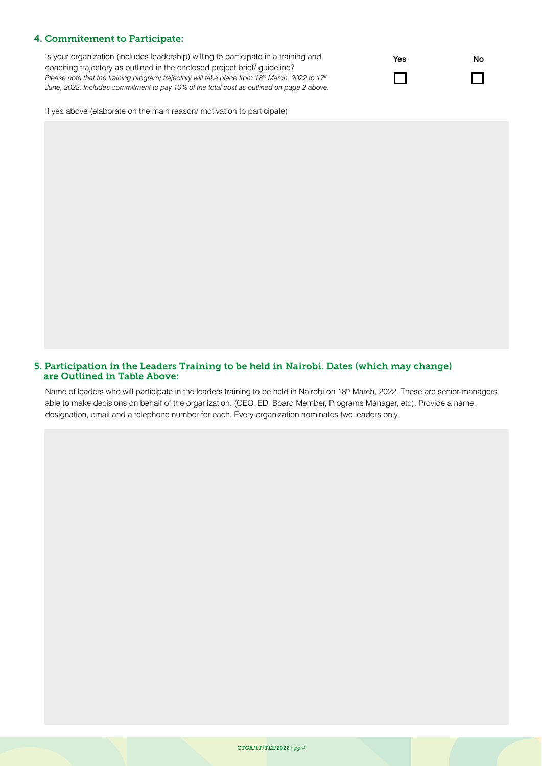#### 4. Commitement to Participate:

Is your organization (includes leadership) willing to participate in a training and coaching trajectory as outlined in the enclosed project brief/ guideline? *Please note that the training program/ trajectory will take place from 18th March, 2022 to 17th June, 2022. Includes commitment to pay 10% of the total cost as outlined on page 2 above.*



If yes above (elaborate on the main reason/ motivation to participate)

#### 5. Participation in the Leaders Training to be held in Nairobi. Dates (which may change) are Outlined in Table Above:

Name of leaders who will participate in the leaders training to be held in Nairobi on 18<sup>th</sup> March, 2022. These are senior-managers able to make decisions on behalf of the organization. (CEO, ED, Board Member, Programs Manager, etc). Provide a name, designation, email and a telephone number for each. Every organization nominates two leaders only.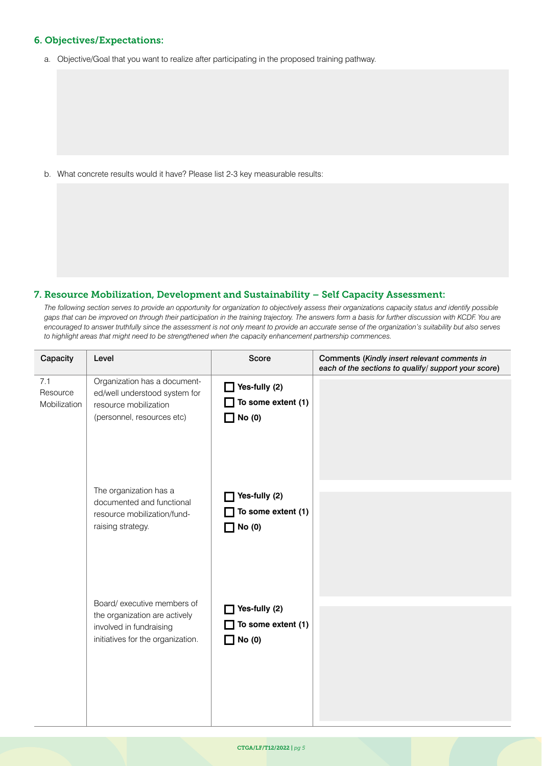#### 6. Objectives/Expectations:

a. Objective/Goal that you want to realize after participating in the proposed training pathway.

b. What concrete results would it have? Please list 2-3 key measurable results:

#### 7. Resource Mobilization, Development and Sustainability – Self Capacity Assessment:

*The following section serves to provide an opportunity for organization to objectively assess their organizations capacity status and identify possible*  gaps that can be improved on through their participation in the training trajectory. The answers form a basis for further discussion with KCDF. You are *encouraged to answer truthfully since the assessment is not only meant to provide an accurate sense of the organization's suitability but also serves to highlight areas that might need to be strengthened when the capacity enhancement partnership commences.*

| Capacity                        | Level                                                                                                                        | Score                                                       | Comments (Kindly insert relevant comments in<br>each of the sections to qualify/ support your score) |
|---------------------------------|------------------------------------------------------------------------------------------------------------------------------|-------------------------------------------------------------|------------------------------------------------------------------------------------------------------|
| 7.1<br>Resource<br>Mobilization | Organization has a document-<br>ed/well understood system for<br>resource mobilization<br>(personnel, resources etc)         | $\Box$ Yes-fully (2)<br>To some extent (1)<br>$\Box$ No (0) |                                                                                                      |
|                                 | The organization has a<br>documented and functional<br>resource mobilization/fund-<br>raising strategy.                      | Yes-fully (2)<br>To some extent (1)<br>No (0)               |                                                                                                      |
|                                 | Board/ executive members of<br>the organization are actively<br>involved in fundraising<br>initiatives for the organization. | Yes-fully (2)<br>To some extent (1)<br>No (0)               |                                                                                                      |